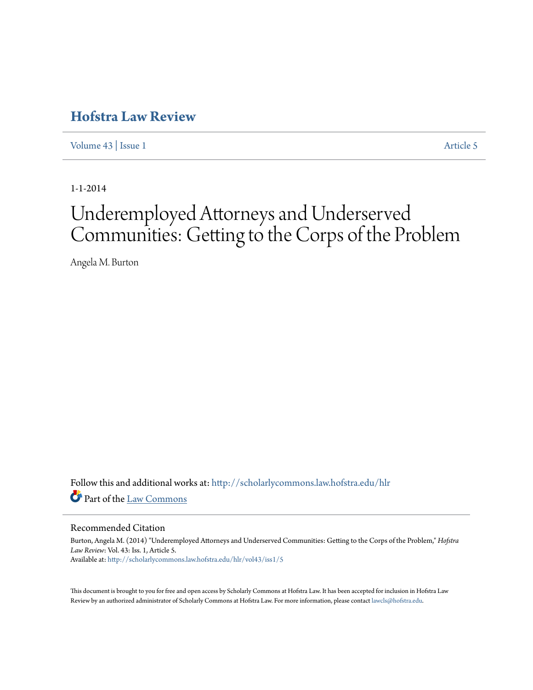# **[Hofstra Law Review](http://scholarlycommons.law.hofstra.edu/hlr?utm_source=scholarlycommons.law.hofstra.edu%2Fhlr%2Fvol43%2Fiss1%2F5&utm_medium=PDF&utm_campaign=PDFCoverPages)**

[Volume 43](http://scholarlycommons.law.hofstra.edu/hlr/vol43?utm_source=scholarlycommons.law.hofstra.edu%2Fhlr%2Fvol43%2Fiss1%2F5&utm_medium=PDF&utm_campaign=PDFCoverPages) | [Issue 1](http://scholarlycommons.law.hofstra.edu/hlr/vol43/iss1?utm_source=scholarlycommons.law.hofstra.edu%2Fhlr%2Fvol43%2Fiss1%2F5&utm_medium=PDF&utm_campaign=PDFCoverPages) [Article 5](http://scholarlycommons.law.hofstra.edu/hlr/vol43/iss1/5?utm_source=scholarlycommons.law.hofstra.edu%2Fhlr%2Fvol43%2Fiss1%2F5&utm_medium=PDF&utm_campaign=PDFCoverPages)

1-1-2014

# Underemployed Attorneys and Underserved Communities: Getting to the Corps of the Problem

Angela M. Burton

Follow this and additional works at: [http://scholarlycommons.law.hofstra.edu/hlr](http://scholarlycommons.law.hofstra.edu/hlr?utm_source=scholarlycommons.law.hofstra.edu%2Fhlr%2Fvol43%2Fiss1%2F5&utm_medium=PDF&utm_campaign=PDFCoverPages) Part of the [Law Commons](http://network.bepress.com/hgg/discipline/578?utm_source=scholarlycommons.law.hofstra.edu%2Fhlr%2Fvol43%2Fiss1%2F5&utm_medium=PDF&utm_campaign=PDFCoverPages)

# Recommended Citation

Burton, Angela M. (2014) "Underemployed Attorneys and Underserved Communities: Getting to the Corps of the Problem," *Hofstra Law Review*: Vol. 43: Iss. 1, Article 5. Available at: [http://scholarlycommons.law.hofstra.edu/hlr/vol43/iss1/5](http://scholarlycommons.law.hofstra.edu/hlr/vol43/iss1/5?utm_source=scholarlycommons.law.hofstra.edu%2Fhlr%2Fvol43%2Fiss1%2F5&utm_medium=PDF&utm_campaign=PDFCoverPages)

This document is brought to you for free and open access by Scholarly Commons at Hofstra Law. It has been accepted for inclusion in Hofstra Law Review by an authorized administrator of Scholarly Commons at Hofstra Law. For more information, please contact [lawcls@hofstra.edu](mailto:lawcls@hofstra.edu).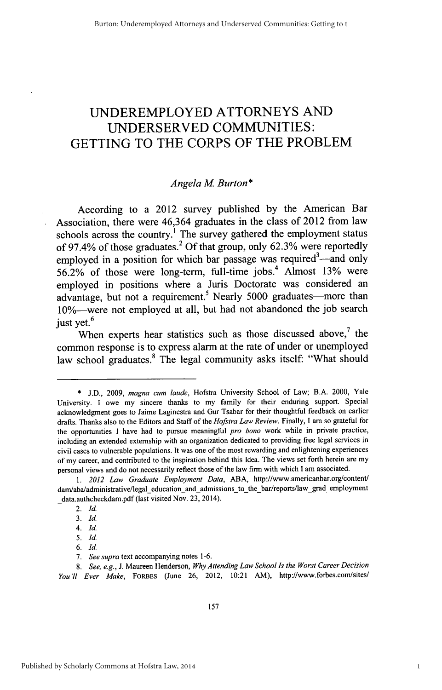# UNDEREMPLOYED ATTORNEYS **AND UNDERSERVED COMMUNITIES: GETTING** TO THE CORPS OF THE PROBLEM

# *Angela M Burton\**

According to a 2012 survey published by the American Bar Association, there were 46,364 graduates in the class of 2012 from law schools across the country.<sup>1</sup> The survey gathered the employment status of 97.4% of those graduates.<sup>2</sup> Of that group, only 62.3% were reportedly employed in a position for which bar passage was required  $3$ —and only 56.2% of those were long-term, full-time jobs.<sup>4</sup> Almost 13% were employed in positions where a Juris Doctorate was considered an advantage, but not a requirement.<sup>5</sup> Nearly 5000 graduates—more than 10%-were not employed at all, but had not abandoned the job search just yet.<sup>6</sup>

When experts hear statistics such as those discussed above, $7$  the common response is to express alarm at the rate of under or unemployed law school graduates.<sup>8</sup> The legal community asks itself: "What should

<sup>\*</sup> J.D., 2009, magna *cum laude,* Hofstra University School of Law; B.A. 2000, Yale University. I owe my sincere thanks to my family for their enduring support. Special acknowledgment goes to Jaime Laginestra and Gur Tsabar for their thoughtful feedback on earlier drafts. Thanks also to the Editors and Staff of the *Hofstra Law Review.* Finally, I am so grateful for the opportunities I have had to pursue meaningful *pro bono* work while in private practice, including an extended externship with an organization dedicated to providing free legal services in civil cases to vulnerable populations. It was one of the most rewarding and enlightening experiences of my career, and contributed to the inspiration behind this Idea. The views set forth herein are my personal views and do not necessarily reflect those of the law firm with which I am associated.

<sup>1. 2012</sup> Law Graduate Employment Data, ABA, http://www.americanbar.org/content/ dam/aba/administrative/legal\_education\_and\_admissions\_to\_the\_bar/reports/law\_grad\_employment \_data.authcheckdam.pdf (last visited Nov. 23, 2014).

<sup>2.</sup> *Id.*

<sup>3.</sup> Id.

*<sup>4.</sup>* Id.

<sup>5.</sup> Id.

*<sup>6.</sup>* Id.

<sup>7.</sup> *See supra* text accompanying notes 1-6.

<sup>8.</sup> *See, e.g.,* J. Maureen Henderson, *Why Attending Law School Is the Worst Career Decision* You'll *Ever Make,* FORBES (June 26, 2012, 10:21 AM), http://www.forbes.com/sites/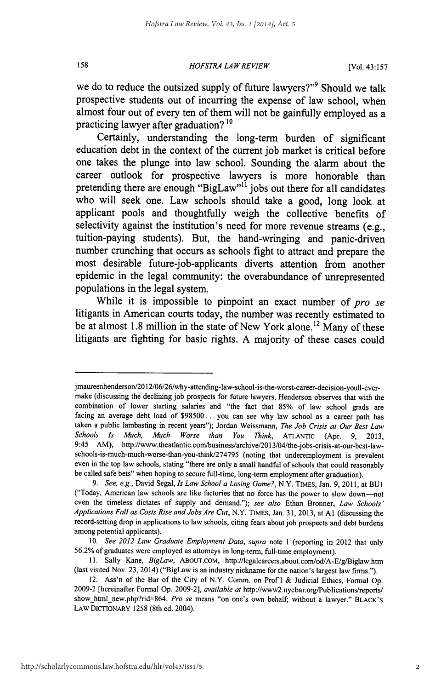*HOFSTRA LAW REVIEW*

we do to reduce the outsized supply of future lawyers?"<sup>9</sup> Should we talk prospective students out of incurring the expense of law school, when almost four out of every ten of them will not be gainfully employed as a practicing lawyer after graduation? **0**

Certainly, understanding the long-term burden of significant education debt in the context of the current **job** market is critical before one takes the plunge into law school. Sounding the alarm about the career outlook for prospective lawyers is more honorable than pretending there are enough "BigLaw"<sup>11</sup> jobs out there for all candidates who will seek one. Law schools should take a good, long look at applicant pools and thoughtfully weigh the collective benefits of selectivity against the institution's need for more revenue streams (e.g., tuition-paying students). But, the hand-wringing and panic-driven number crunching that occurs as schools fight to attract and prepare the most desirable future-job-applicants diverts attention from another epidemic in the legal community: the overabundance of unrepresented populations in the legal system.

While it is impossible to pinpoint an exact number of *pro se* litigants in American courts today, the number was recently estimated to be at almost 1.8 million in the state of New York alone.<sup>12</sup> Many of these litigants are fighting for basic rights. **A** majority of these cases could

158

jmaureenhenderson/2012/06/26/why-attending-law-school-is-the-worst-career-decision-youll-eve make (discussing the declining job prospects for future lawyers, Henderson observes that with the combination of lower starting salaries and "the fact that 85% of law school grads are facing an average debt load of **\$98500...** you can see why law school as a career path has taken a public lambasting in recent years"); Jordan Weissmann, *The Job Crisis at Our Best Law* Schools *Is Much, Much Worse* than *You Think,* ATLANTIC (Apr. 9, 2013, 9:45 AM), http://www.theatlantic.com/business/archive/2013/04/the-jobs-crisis-at-our-best-lawschools-is-much-much-worse-than-you-think/274795 (noting that underemployment is prevalent even in the top law schools, stating "there are only a small handful of schools that could reasonably be called safe bets" when hoping to secure full-time, long-term employment after graduation).

*<sup>9.</sup>* See, e.g., David Segal, *Is Law School a Losing Game?,* N.Y. TIMES, Jan. 9, 2011, at BU1 ("Today, American law schools are like factories that no force has the power to slow down-not even the timeless dictates of supply and demand."); *see also* Ethan Bronner, *Law Schools'* Applications Fall as Costs Rise and Jobs Are Cut, N.Y. TIMES, Jan. 31, 2013, at A1 (discussing the record-setting drop in applications to law schools, citing fears about job prospects and debt burdens among potential applicants).

<sup>10.</sup> *See 2012 Law Graduate Employment Data, supra* note 1 (reporting in 2012 that only 56.2% of graduates were employed as attomeys in long-term, full-time employment).

<sup>11.</sup> Sally Kane, *BigLaw,* ABOUT.COM, http://legalcareers.about.com/od/A-E/g/Biglaw.htm (last visited Nov. 23, 2014) ("BigLaw is an industry nickname for the nation's largest law firms.").

<sup>12.</sup> Ass'n of the Bar of the City of N.Y. Comm. on Prof'l & Judicial Ethics, Formal Op. 2009-2 [hereinafter Formal Op. 2009-2], *available at* http://www2.nycbar.org/Publications/reports/ show html new.php?rid=864. *Pro se* means "on one's own behalf; without a lawyer." BLACK'S LAW DICTIONARY 1258 (8th ed. 2004).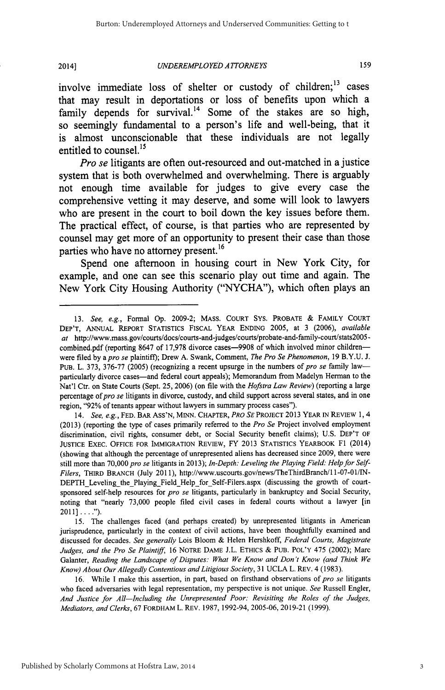20141

#### *UNDEREMPLOYED ATTORNEYS*

involve immediate loss of shelter or custody of children;<sup>13</sup> cases that may result in deportations or loss of benefits upon which a family depends for survival.<sup>14</sup> Some of the stakes are so high, so seemingly fundamental to a person's life and well-being, that it is almost unconscionable that these individuals are not legally entitled to counsel.<sup>15</sup>

*Pro se* litigants are often out-resourced and out-matched in a justice system that is both overwhelmed and overwhelming. There is arguably not enough time available for judges to give every case the comprehensive vetting it may deserve, and some will look to lawyers who are present in the court to boil down the key issues before them. The practical effect, of course, is that parties who are represented **by** counsel may get more of an opportunity to present their case than those parties who have no attorney present.<sup>16</sup>

Spend one afternoon in housing court in New York City, for example, and one can see this scenario play out time and again. The New York City Housing Authority **("NYCHA"),** which often plays an

<sup>13.</sup> *See, e.g.,* Formal Op. 2009-2; MASS. **COURT** SYS. PROBATE & FAMILY **COURT** DEP'T, ANNUAL REPORT STATISTICS FISCAL YEAR **ENDING** 2005, at 3 (2006), *available at* http://www.mass.gov/courts/docs/courts-and-judges/courts/probate-and-family-court/stats2005 combined.pdf (reporting 8647 of 17,978 divorce cases—9908 of which involved minor children were filed by *apro se* plaintiff); Drew A. Swank, Comment, *The Pro Se Phenomenon,* 19 B.Y.U. J. PUB. L. 373, 376-77 (2005) (recognizing a recent upsurge in the numbers *of pro se* family lawparticularly divorce cases-and federal court appeals); Memorandum from Madelyn Herman to the Nat'l Ctr. on State Courts (Sept. 25, 2006) (on file with the *Hofstra Law Review)* (reporting a large percentage *of pro se* litigants in divorce, custody, and child support across several states, and in one region, "92% of tenants appear without lawyers in summary process cases").

*<sup>14.</sup> See, e.g.,* **FED.** BAR ASS'N, MINN. CHAPTER, *PRO SE* **PROJECT** 2013 YEAR IN REVIEW 1,4 (2013) (reporting the type of cases primarily referred to the *Pro Se* Project involved employment discrimination, civil rights, consumer debt, or Social Security benefit claims); U.S. DEP'T OF **JUSTICE** EXEC. **OFFICE** FOR IMMIGRATION REVIEW, FY 2013 **STATISTICS** YEARBOOK F1 (2014) (showing that although the percentage of unrepresented aliens has decreased since 2009, there were still more than 70,000 *pro se* litigants in 2013); *In-Depth: Leveling the Playing Field: Help for Self-Filers,* THIRD BRANCH (July 2011), http://www.uscourts.gov/news/TheThirdBranch/1 1-07-01/IN-DEPTH\_Leveling\_the\_Playing\_Field\_Help\_for\_Self-Filers.aspx (discussing the growth of courtsponsored self-help resources for *pro se* litigants, particularly in bankruptcy and Social Security, noting that "nearly 73,000 people filed civil cases in federal courts without a lawyer [in 2011] **....").**

<sup>15.</sup> The challenges faced (and perhaps created) by unrepresented litigants in American jurisprudence, particularly in the context of civil actions, have been thoughtfully examined and discussed for decades. *See generally* Lois Bloom & Helen Hershkoff, *Federal Courts, Magistrate Judges, and the Pro Se Plaintiff,* 16 NOTRE **DAME** J.L. **ETHICS** & **PUB. POL'Y** 475 (2002); Marc Galanter, *Reading the Landscape of Disputes: What We Know and Don't Know (and Think We Know) About Our Allegedly Contentious and Litigious Society,* 31 UCLA L. REV. 4 (1983).

<sup>16.</sup> While I make this assertion, in part, based on firsthand observations *of pro se* litigants who faced adversaries with legal representation, my perspective is not unique. *See* Russell Engler, *And Justice for All-Including the Unrepresented Poor: Revisiting the Roles of the Judges, Mediators, and Clerks,* **67** FORDHAM L. REV. **1987,** 1992-94, 2005-06, 2019-21 (1999).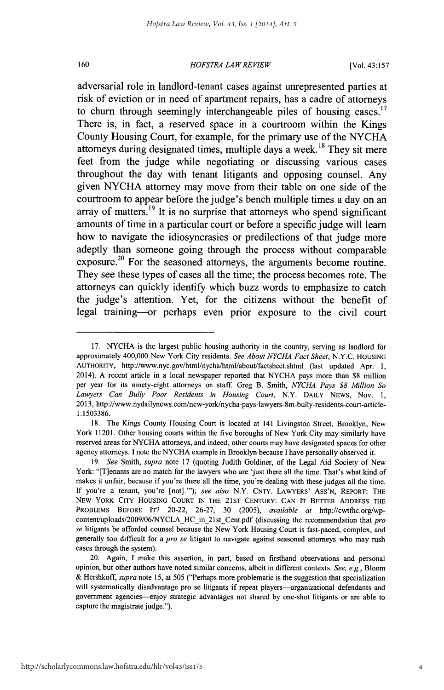160

*HOFSTRA LA W REVIEW*

[Vol. **43:157**

adversarial role in landlord-tenant cases against unrepresented parties at risk of eviction or in need of apartment repairs, has a cadre of attorneys to churn through seemingly interchangeable piles of housing cases.<sup>17</sup> There is, in fact, a reserved space in a courtroom within the Kings County Housing Court, for example, for the primary use of the **NYCHA** attorneys during designated times, multiple days a week. **18** They sit mere feet from the judge while negotiating or discussing various cases throughout the day with tenant litigants and opposing counsel. Any given **NYCHA** attorney may move from their table on one side of the courtroom to appear before the judge's bench multiple times a day on an array of matters.<sup>19</sup> It is no surprise that attorneys who spend significant amounts of time in a particular court or before a specific judge will learn how to navigate the idiosyncrasies or predilections of that judge more adeptly than someone going through the process without comparable exposure.<sup>20</sup> For the seasoned attorneys, the arguments become routine. They see these types of cases all the time; the process becomes rote. The attorneys can quickly identify which buzz words to emphasize to catch the judge's attention. Yet, for the citizens without the benefit of legal training--or perhaps even prior exposure to the civil court

<sup>17.</sup> NYCHA is the largest public housing authority in the country, serving as landlord for approximately 400,000 New York City residents. *See About NYCHA Fact Sheet,* N.Y.C. HOUSING AUTHORITY, http://www.nyc.govihtml/nycha/html/about/factsheet.shtml (last updated Apr. 1, 2014). A recent article in a local newspaper reported that NYCHA pays more than \$8 million per year for its ninety-eight attorneys on staff. Greg B. Smith, *NYCHA Pays \$8 Million So Lawyers Can Bully Poor Residents in Housing Court,* N.Y. DAILY NEWS, Nov. 1, 2013, http://www.nydailynews.com/new-york/nycha-pays-lawyers-8m-buly-residents-court-article-1.1503386.

<sup>18.</sup> The Kings County Housing Court is located at 141 Livingston Street, Brooklyn, New York 11201. Other housing courts within the five boroughs of New York City may similarly have reserved areas for NYCHA attorneys, and indeed, other courts may have designated spaces for other agency attorneys. I note the NYCHA example in Brooklyn because I have personally observed it.

<sup>19.</sup> *See* Smith, *supra* note 17 (quoting Judith Goldiner, of the Legal Aid Society of New York: "[T]enants are no match for the lawyers who are 'just there all the time. That's what kind of makes it unfair, because if you're there all the time, you're dealing with these judges all the time. If you're a tenant, you're [not]."'); *see also* N.Y. CNTY. LAWYERS' ASS'N, REPORT: THE **NEW** YORK CITY HOUSING COURT IN THE 21ST CENTURY: CAN IT BETTER ADDRESS THE PROBLEMS BEFORE IT? 20-22, 26-27, 30 (2005), *available at* http://cwtfhc.org/wpcontent/uploads/2009/06/NYCLA\_HC\_in\_21st\_Cent.pdf (discussing the recommendation that *pro se* litigants be afforded counsel because the New York Housing Court is fast-paced, complex, and generally too difficult for a *pro se* litigant to navigate against seasoned attorneys who may rush cases through the system).

<sup>20.</sup> Again, I make this assertion, in part, based on firsthand observations and personal opinion, but other authors have noted similar concerns, albeit in different contexts. *See, e.g.,* Bloom & Hershkoff, *supra* note 15, at 505 ("Perhaps more problematic is the suggestion that specialization will systematically disadvantage pro se litigants if repeat players-organizational defendants and government agencies-enjoy strategic advantages not shared by one-shot litigants or are able to capture the magistrate judge.").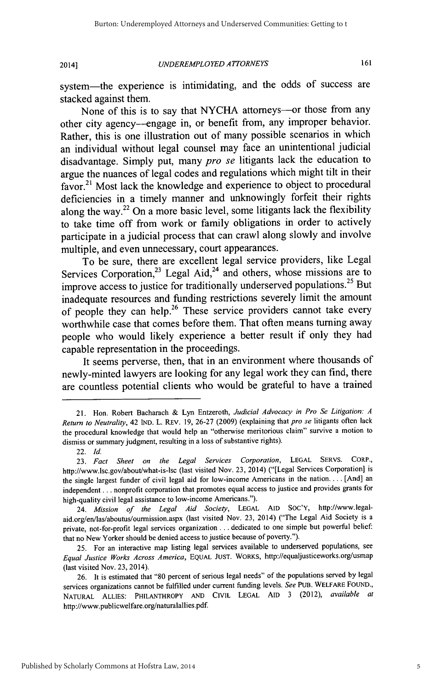2014]

*UNDEREMPLOYED ATTORNEYS*

161

system-the experience is intimidating, and the odds of success are stacked against them.

None of this is to say that NYCHA attorneys-or those from any other city agency--engage in, or benefit from, any improper behavior. Rather, this is one illustration out of many possible scenarios in which an individual without legal counsel may face an unintentional judicial disadvantage. Simply put, many *pro se* litigants lack the education to argue the nuances of legal codes and regulations which might tilt in their favor.<sup>21</sup> Most lack the knowledge and experience to object to procedural deficiencies in a timely manner and unknowingly forfeit their rights along the way.<sup>22</sup> On a more basic level, some litigants lack the flexibility to take time off from work or family obligations in order to actively participate in a judicial process that can crawl along slowly and involve multiple, and even unnecessary, court appearances.

To be sure, there are excellent legal service providers, like Legal Services Corporation.<sup>23</sup> Legal Aid, $24$  and others, whose missions are to improve access to justice for traditionally underserved populations.<sup>25</sup> But inadequate resources and funding restrictions severely limit the amount of people they can help.<sup>26</sup> These service providers cannot take every worthwhile case that comes before them. That often means turning away people who would likely experience a better result if only they had capable representation in the proceedings.

It seems perverse, then, that in an environment where thousands of newly-minted lawyers are looking for any legal work they can find, there are countless potential clients who would be grateful to have a trained

<sup>21.</sup> Hon. Robert Bacharach & Lyn Entzeroth, *Judicial Advocacy in Pro Se* Litigation: A *Return* to Neutrality, 42 **IND.** L. REv. 19, 26-27 (2009) (explaining that pro se litigants often lack the procedural knowledge that would help an "otherwise meritorious claim" survive a motion to dismiss or summary judgment, resulting in a loss of substantive rights).

<sup>22.</sup> Id.

**<sup>23.</sup>** *Fact Sheet on the Legal Services Corporation,* **LEGAL** SERVS. CORP., http://www.lsc.gov/about/what-is-lsc (last visited Nov. 23, 2014) ("[Legal Services Corporation] is the single largest funder of civil legal aid for low-income Americans in the nation **....** [And] an independent... nonprofit corporation that promotes equal access to justice and provides grants for high-quality civil legal assistance to low-income Americans.").

<sup>24.</sup> Mission *of the Legal Aid Society,* **LEGAL AID SOC'Y,** http://www.legalaid.org/en/las/aboutus/ourmission.aspx (last visited Nov. 23, 2014) ("The Legal Aid Society is a private, not-for-profit legal services organization **...** dedicated to one simple but powerful belief: that no New Yorker should be denied access to justice because of poverty.").

<sup>25.</sup> For an interactive map listing legal services available to underserved populations, see Equal Justice *Works Across America,* **EQUAL JUST.** WORKS, http://equaljusticeworks.org/usmap (last visited Nov. 23, 2014).

<sup>26.</sup> It is estimated that "80 percent of serious legal needs" of the populations served by legal services organizations cannot be fulfilled under current funding levels. *See* PUB. WELFARE FOUND., NATURAL **ALLIES:** PHILANTHROPY **AND** CIVIL LEGAL AID 3 (2012), *available at* http://www.publicwelfare.org/naturalallies.pdf.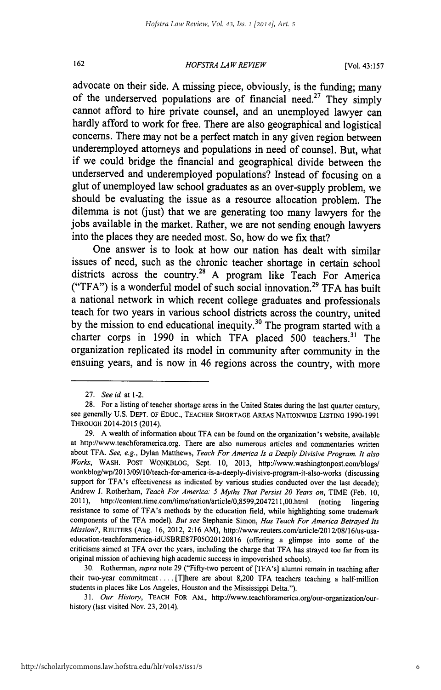#### *HOFSTRA LA W REVIEW*

advocate on their side. A missing piece, obviously, is the funding; many of the underserved populations are of financial need.<sup>27</sup> They simply cannot afford to hire private counsel, and an unemployed lawyer can hardly afford to work for free. There are also geographical and logistical concerns. There may not be a perfect match in any given region between underemployed attorneys and populations in need of counsel. But, what if we could bridge the financial and geographical divide between the underserved and underemployed populations? Instead of focusing on a glut of unemployed law school graduates as an over-supply problem, we should be evaluating the issue as a resource allocation problem. The dilemma is not (just) that we are generating too many lawyers for the jobs available in the market. Rather, we are not sending enough lawyers into the places they are needed most. So, how do we fix that?

One answer is to look at how our nation has dealt with similar issues of need, such as the chronic teacher shortage in certain school districts across the country.<sup>28</sup> A program like Teach For America ("TFA") is a wonderful model of such social innovation. <sup>29</sup>**TFA** has built a national network in which recent college graduates and professionals teach for two years in various school districts across the country, united by the mission to end educational inequity.<sup>30</sup> The program started with a charter corps in 1990 in which TFA placed 500 teachers.<sup>31</sup> The organization replicated its model in community after community in the ensuing years, and is now in 46 regions across the country, with more

<sup>27.</sup> *See id.* at 1-2.

**<sup>28.</sup>** For a listing of teacher shortage areas in the United States during the last quarter century, see generally U.S. DEPT. **OF** EDUC., TEACHER SHORTAGE AREAS NATIONWIDE LISTING **1990-1991** THROUGH 2014-2015 (2014).

<sup>29.</sup> A wealth of information about TFA can be found on the organization's website, available at http://www.teachforamerica.org. There are also numerous articles and commentaries written about TFA. *See, e.g.,* Dylan Matthews, *Teach For America Is a Deeply Divisive Program. It also Works,* WASH. POST WONKBLOG, Sept. **10,** 2013, http://www.washingtonpost.com/blogs/ wonkblogfwp/2013/09/10/teach-for-america-is-a-deeply-divisive-program-it-also-works (discussing support for TFA's effectiveness as indicated by various studies conducted over the last decade); Andrew J. Rotherham, *Teach For America: 5 Myths That Persist 20 Years on,* TIME (Feb. 10, 2011), http://content.time.com/time/nation/article/0,8599,2047211,00.html (noting lingering resistance to some of TFA's methods by the education field, while highlighting some trademark components of the TFA model). *But see* Stephanie Simon, *Has Teach For America Betrayed Its Mission?,* REUTERS (Aug. 16, 2012, 2:16 AM), http://www.reuters.com/article/2012/08/16/us-usaeducation-teachforamerica-idUSBRE87F05020120816 (offering a glimpse into some of the criticisms aimed at **TFA** over the years, including the charge that TFA has strayed too far from its original mission of achieving high academic success in impoverished schools).

<sup>30.</sup> Rotherman, *supra* note 29 ("Fifty-two percent of [TFA's] alumni remain in teaching after their two-year commitment **....** [T]here are about 8,200 **TFA** teachers teaching a half-million students in places like Los Angeles, Houston and the Mississippi Delta.").

**<sup>31.</sup>** *Our History,* **TEACH** FOR AM., http://www.teachforamerica.org/our-organization/ourhistory (last visited Nov. 23, 2014).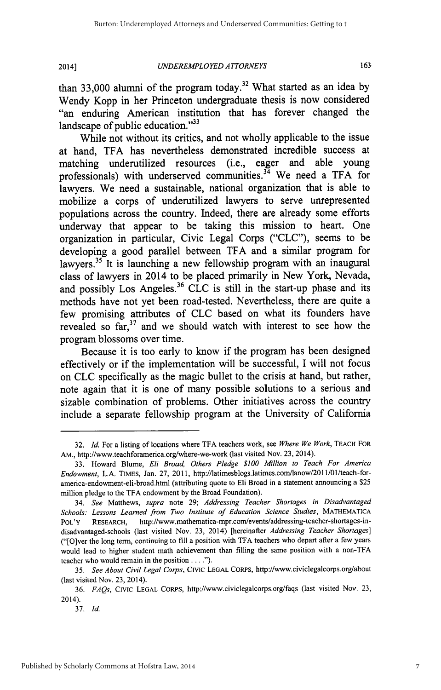2014]

than 33,000 alumni of the program today.<sup>32</sup> What started as an idea by Wendy Kopp in her Princeton undergraduate thesis is now considered "an enduring American institution that has forever changed the landscape of public education."33

While not without its critics, and not wholly applicable to the issue at hand, TFA has nevertheless demonstrated incredible success at matching underutilized resources (i.e., eager and able young professionals) with underserved communities. $3<sup>3</sup>$  We need a TFA for lawyers. We need a sustainable, national organization that is able to mobilize a corps of underutilized lawyers to serve unrepresented populations across the country. Indeed, there are already some efforts underway that appear to be taking this mission to heart. One organization in particular, Civic Legal Corps ("CLC"), seems to be developing a good parallel between TFA and a similar program for lawyers.<sup>35</sup> It is launching a new fellowship program with an inaugural class of lawyers in 2014 to be placed primarily in New York, Nevada, and possibly Los Angeles.<sup>36</sup> CLC is still in the start-up phase and its methods have not yet been road-tested. Nevertheless, there are quite a few promising attributes of CLC based on what its founders have revealed so far,<sup>37</sup> and we should watch with interest to see how the program blossoms over time.

Because it is too early to know if the program has been designed effectively or if the implementation will be successful, I will not focus on CLC specifically as the magic bullet to the crisis at hand, but rather, note again that it is one of many possible solutions to a serious and sizable combination of problems. Other initiatives across the country include a separate fellowship program at the University of California

37. *Id.*

<sup>32.</sup> *Id.* For a listing of locations where TFA teachers work, see *Where We Work,* TEACH FOR AM., http://www.teachforamerica.org/where-we-work (last visited Nov. 23, 2014).

<sup>33.</sup> Howard Blume, *Eli Broad, Others Pledge \$100 Million to Teach For America Endowment,* L.A. TIMES, Jan. 27, 2011, http://latimesblogs.latimes.com/lanow/201 1/01/teach-foramerica-endowment-eli-broad.html (attributing quote to Eli Broad in a statement announcing a **\$25** million pledge to the **TFA** endowment by the Broad Foundation).

<sup>34.</sup> *See* Matthews, *supra* note 29; *Addressing Teacher Shortages in Disadvantaged Schools: Lessons Learned from Two Institute of Education Science Studies,* **MATHEMATICA** POL'Y RESEARCH, http://www.mathematica-mpr.com/events/addressing-teacher-shortages-indisadvantaged-schools (last visited Nov. 23, 2014) [hereinafter *Addressing Teacher Shortages]* ("[O]ver the long term, continuing to fill a position with TFA teachers who depart after a few years would lead to higher student math achievement than filling the same position with a non-TFA teacher who would remain in the position **.... ").**

<sup>35.</sup> *See About Civil Legal Corps,* CIVIC LEGAL CORPS, http://www.civiclegalcorps.org/about (last visited Nov. 23, 2014).

**<sup>36.</sup>** *FAQs,* Civic LEGAL CORPS, http://www.civiclegalcorps.org/faqs (last visited Nov. 23, 2014).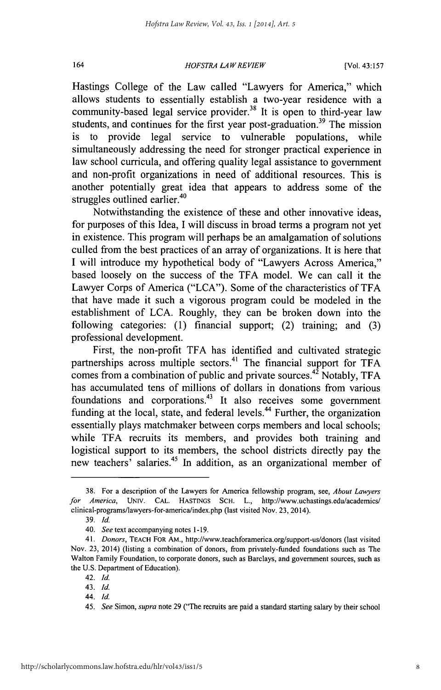### *HOFSTRA LA W REVIEW*

Hastings College of the Law called "Lawyers for America," which allows students to essentially establish a two-year residence with a community-based legal service provider.<sup>38</sup> It is open to third-year law students, and continues for the first year post-graduation.<sup>39</sup> The mission is to provide legal service to vulnerable populations, while simultaneously addressing the need for stronger practical experience in law school curricula, and offering quality legal assistance to government and non-profit organizations in need of additional resources. This is another potentially great idea that appears to address some of the struggles outlined earlier.<sup>40</sup>

Notwithstanding the existence of these and other innovative ideas, for purposes of this Idea, I will discuss in broad terms a program not yet in existence. This program will perhaps be an amalgamation of solutions culled from the best practices of an array of organizations. It is here that I will introduce my hypothetical body of "Lawyers Across America," based loosely on the success of the TFA model. We can call it the Lawyer Corps of America ("LCA"). Some of the characteristics of TFA that have made it such a vigorous program could be modeled in the establishment of LCA. Roughly, they can be broken down into the following categories: (1) financial support; (2) training; and (3) professional development.

First, the non-profit TFA has identified and cultivated strategic partnerships across multiple sectors.<sup>41</sup> The financial support for TFA comes from a combination of public and private sources.<sup>42</sup> Notably, TFA has accumulated tens of millions of dollars in donations from various foundations and corporations.43 It also receives some government funding at the local, state, and federal levels.<sup>44</sup> Further, the organization essentially plays matchmaker between corps members and local schools; while TFA recruits its members, and provides both training and logistical support to its members, the school districts directly pay the new teachers' salaries.45 In addition, as an organizational member of

164

<sup>38.</sup> For a description of the Lawyers for America fellowship program, see, *About Lawyers for America,* **UNIV. CAL. HASTINGS SCH.** L., http://www.uchastings.edu/academics/ clinical-programs/lawyers-for-america/index.php (last visited Nov. 23, 2014).

<sup>39.</sup> *Id.*

<sup>40.</sup> *See* text accompanying notes 1-19.

<sup>41.</sup> *Donors,* **TEACH** FOR AM., http://www.teachforamerica.org/support-us/donors (last visited Nov. 23, 2014) (listing a combination of donors, from privately-funded foundations such as The Walton Family Foundation, to corporate donors, such as Barclays, and government sources, such as the U.S. Department of Education).

<sup>42.</sup> Id.

<sup>43.</sup> *Id.*

*<sup>44.</sup> Id.*

<sup>45.</sup> *See* Simon, *supra* note 29 ("The recruits are paid a standard starting salary by their school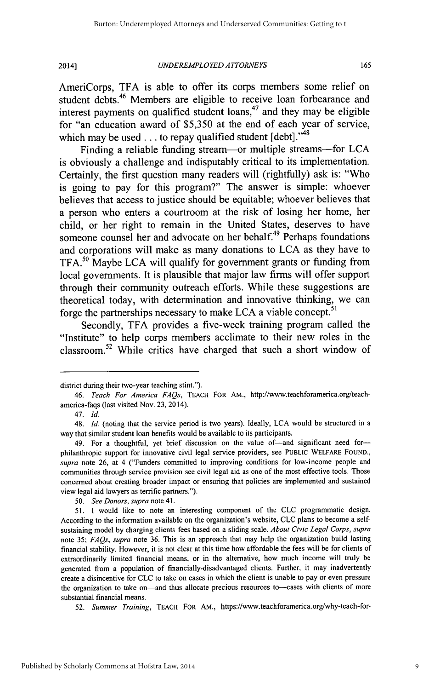2014]

*UNDEREMPLOYED ATTORNEYS*

165

AmeriCorps, TFA is able to offer its corps members some relief on student debts.<sup>46</sup> Members are eligible to receive loan forbearance and interest payments on qualified student loans, $47$  and they may be eligible for "an education award of \$5,350 at the end of each year of service, which may be used  $\dots$  to repay qualified student [debt]."<sup>48</sup>

Finding a reliable funding stream-or multiple streams-for LCA is obviously a challenge and indisputably critical to its implementation. Certainly, the first question many readers will (rightfully) ask is: "Who is going to pay for this program?" The answer is simple: whoever believes that access to justice should be equitable; whoever believes that a person who enters a courtroom at the risk of losing her home, her child, or her right to remain in the United States, deserves to have someone counsel her and advocate on her behalf.<sup>49</sup> Perhaps foundations and corporations will make as many donations to LCA as they have to TFA.50 Maybe LCA will qualify for government grants or funding from local governments. It is plausible that major law firms will offer support through their community outreach efforts. While these suggestions are theoretical today, with determination and innovative thinking, we can forge the partnerships necessary to make LCA a viable concept.<sup>51</sup>

Secondly, TFA provides a five-week training program called the "Institute" to help corps members acclimate to their new roles in the classroom.<sup>52</sup> While critics have charged that such a short window of

50. *See Donors, supra* note 41.

district during their two-year teaching stint.").

<sup>46.</sup> *Teach For America FAQs,* **TEACH** FOR AM., http://www.teachforamerica.org/teachamerica-faqs (last visited Nov. 23, 2014).

<sup>47.</sup> *Id.*

<sup>48.</sup> *Id.* (noting that the service period is two years). Ideally, LCA would be structured in a way that similar student loan benefits would be available to its participants.

<sup>49.</sup> For a thoughtful, yet brief discussion on the value of-and significant need forphilanthropic support for innovative civil legal service providers, see **PUBLIC** WELFARE **FOUND.,** *supra* note 26, at 4 ("Funders committed to improving conditions for low-income people and communities through service provision see civil legal aid as one of the most effective tools. Those concerned about creating broader impact or ensuring that policies are implemented and sustained view legal aid lawyers as terrific partners.").

<sup>51.</sup> I would like to note an interesting component of the CLC programmatic design. According to the information available on the organization's website, CLC plans to become a selfsustaining model by charging clients fees based on a sliding scale. *About Civic Legal Corps, supra* note 35; *FAQs, supra* note 36. This is an approach that may help the organization build lasting financial stability. However, it is not clear at this time how affordable the fees will be for clients of extraordinarily limited financial means, or in the alternative, how much income will truly be generated from a population of financially-disadvantaged clients. Further, it may inadvertently create a disincentive for CLC to take on cases in which the client is unable to pay or even pressure the organization to take on-and thus allocate precious resources to-cases with clients of more substantial financial means.

<sup>52.</sup> *Summer Training,* **TEACH** FOR AM., https://www.teachforamerica.org/why-teach-for-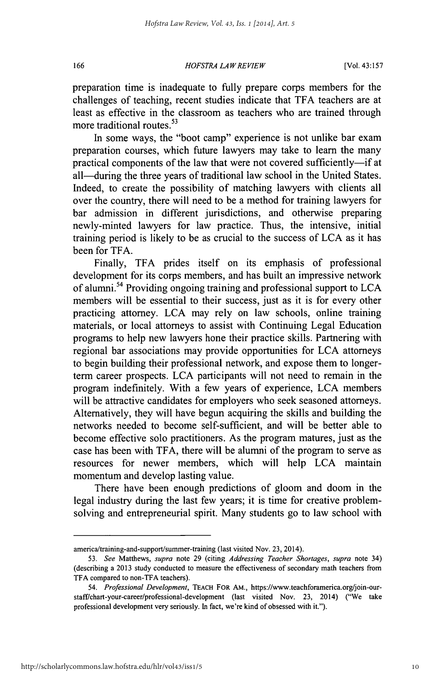*HOFSTRA LA W REVIEW*

preparation time is inadequate to fully prepare corps members for the challenges of teaching, recent studies indicate that TFA teachers are at least as effective in the classroom as teachers who are trained through more traditional routes.<sup>53</sup>

In some ways, the "boot camp" experience is not unlike bar exam preparation courses, which future lawyers may take to learn the many practical components of the law that were not covered sufficiently-if at all-during the three years of traditional law school in the United States. Indeed, to create the possibility of matching lawyers with clients all over the country, there will need to be a method for training lawyers for bar admission in different jurisdictions, and otherwise preparing newly-minted lawyers for law practice. Thus, the intensive, initial training period is likely to be as crucial to the success of LCA as it has been for TFA.

Finally, TFA prides itself on its emphasis of professional development for its corps members, and has built an impressive network of alumni.<sup>54</sup> Providing ongoing training and professional support to LCA members will be essential to their success, just as it is for every other practicing attorney. LCA may rely on law schools, online training materials, or local attorneys to assist with Continuing Legal Education programs to help new lawyers hone their practice skills. Partnering with regional bar associations may provide opportunities for LCA attorneys to begin building their professional network, and expose them to longerterm career prospects. LCA participants will not need to remain in the program indefinitely. With a few years of experience, LCA members will be attractive candidates for employers who seek seasoned attorneys. Alternatively, they will have begun acquiring the skills and building the networks needed to become self-sufficient, and will be better able to become effective solo practitioners. As the program matures, just as the case has been with TFA, there will be alumni of the program to serve as resources for newer members, which will help LCA maintain momentum and develop lasting value.

There have been enough predictions of gloom and doom in the legal industry during the last few years; it is time for creative problemsolving and entrepreneurial spirit. Many students go to law school with

166

america/training-and-support/summer-training (last visited Nov. 23, 2014).

<sup>53.</sup> *See* Matthews, *supra* note 29 (citing *Addressing Teacher Shortages, supra* note 34) (describing a 2013 study conducted to measure the effectiveness of secondary math teachers from TFA compared to non-TFA teachers).

<sup>54.</sup> *Professional Development,* TEACH FOR AM., https://www.teachforamerica.org/join-ourstaff/chart-your-career/professional-development (last visited Nov. 23, 2014) ("We take professional development very seriously. In fact, we're kind of obsessed with it.").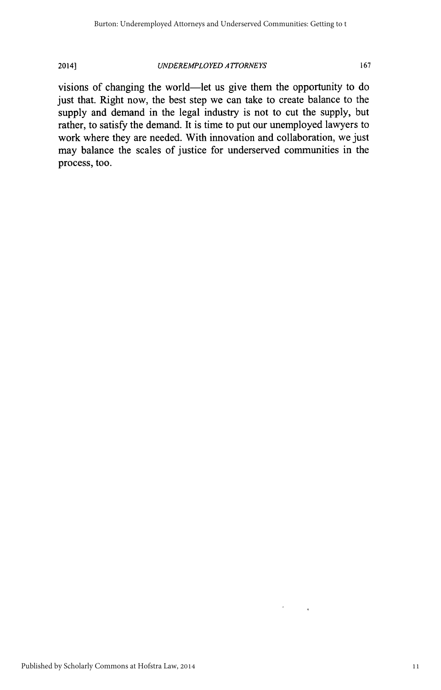## 2014] *UNDEREMPLOYED A 7TORNEYS* 167

visions of changing the world-let us give them the opportunity to do just that. Right now, the best step we can take to create balance to the supply and demand in the legal industry is not to cut the supply, but rather, to satisfy the demand. It is time to put our unemployed lawyers to work where they are needed. With innovation and collaboration, we just may balance the scales of justice for underserved communities in the process, too.